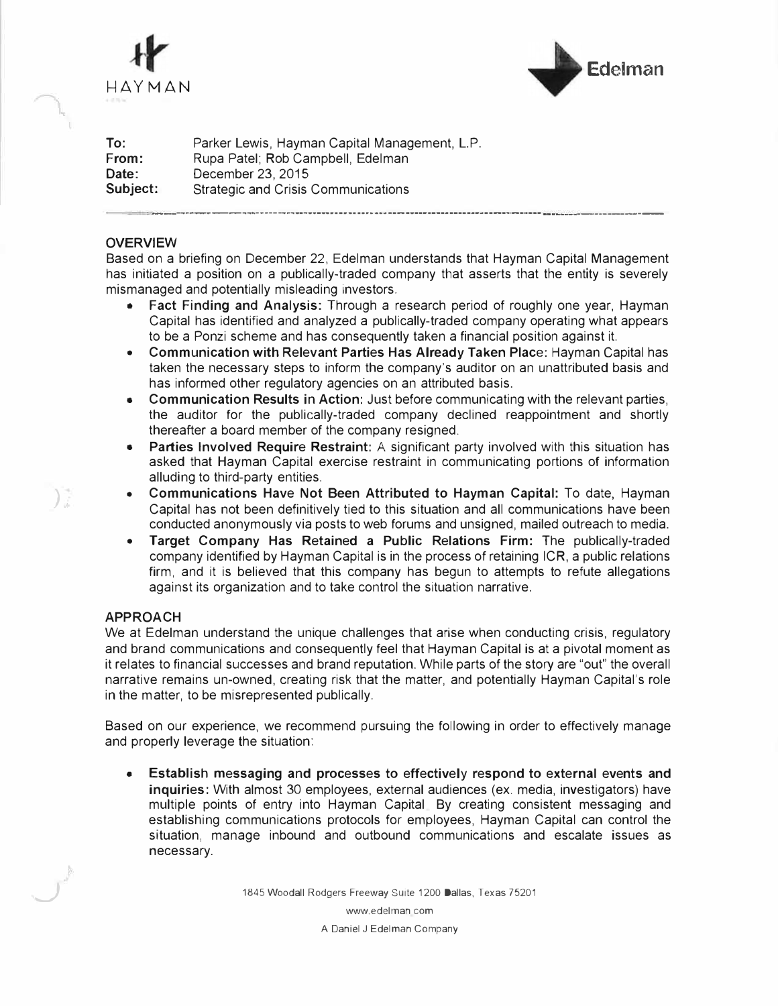

..

*)* 

*\_J* 



**To: From:**  Parker Lewis, Hayman Capital Management, L.P. Rupa Patel; Rob Campbell, Edelman **Date:** December 23, 2015<br> **Subject:** Strategic and Crisis **Strategic and Crisis Communications** ----------------------------··-·-··-··----------------------------- -------

#### **OVERVIEW**

Based on a briefing on December 22, Edelman understands that Hayman Capital Management has initiated a position on a publically-traded company that asserts that the entity is severely mismanaged and potentially misleading investors.

- **Fact Finding and Analysis:** Through a research period of roughly one year, Hayman Capital has identified and analyzed a publically-traded company operating what appears to be a Ponzi scheme and has consequently taken a financial position against it.
- **Communication with Relevant Parties Has Already Taken Place:** Hayman Capital has taken the necessary steps to inform the company's auditor on an unattributed basis and has informed other regulatory agencies on an attributed basis.
- **Communication Results** in **Action:** Just before communicating with the relevant parties, the auditor for the publically-traded company declined reappointment and shortly thereafter a board member of the company resigned.
- **Parties Involved Require Restraint:** A significant party involved with this situation has asked that Hayman Capital exercise restraint in communicating portions of information alluding to third-party entities.
- **Communications Have Not Been Attributed to Hayman Capital:** To date, Hayman Capital has not been definitively tied to this situation and all communications have been conducted anonymously via posts to web forums and unsigned, mailed outreach to media.
- **Target Company Has Retained a Public Relations Firm:** The publically-traded company identified by Hayman Capital is in the process of retaining ICR, a public relations firm, and it is believed that this company has begun to attempts to refute allegations against its organization and to take control the situation narrative.

#### **APPROACH**

We at Edelman understand the unique challenges that arise when conducting crisis, regulatory and brand communications and consequently feel that Hayman Capital is at a pivotal moment as it relates to financial successes and brand reputation. While parts of the story are "out" the overall narrative remains un-owned, creating risk that the matter, and potentially Hayman Capital's role in the matter, to be misrepresented publically.

Based on our experience, we recommend pursuing the following in order to effectively manage and properly leverage the situation:

• Establish messaging and processes to effectively respond to external events and **inquiries:** With almost 30 employees, external audiences (ex. media, investigators) have multiple points of entry into Hayman Capital By creating consistent messaging and establishing communications protocols for employees, Hayman Capital can control the situation, manage inbound and outbound communications and escalate issues as necessary.

1845 Woodall Rodgers Freeway Suite 1200 Dallas, Texas 75201

www.edelman.com A Daniel *J* Edelman Company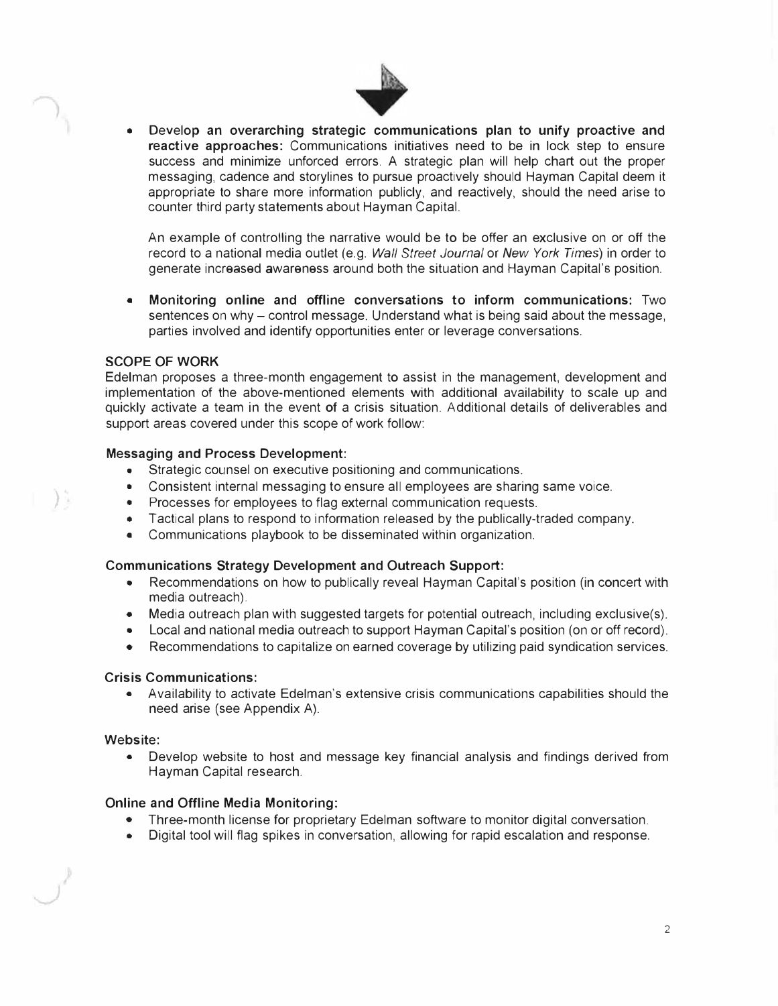

• Develop **an overarching strategic communications plan to unify proactive and reactive approaches:** Communications initiatives need to be in lock step to ensure success and minimize unforced errors. A strategic plan will help chart out the proper messaging, cadence and storylines to pursue proactively should Hayman Capital deem it appropriate to share more information publicly, and reactively, should the need arise to counter third party statements about Hayman Capital.

An example of controlling the narrative would be to be offer an exclusive on or off the record to a national media outlet (e.g. *Wall Street Journal* or *New York Times)* in order to generate increased awareness around both the situation and Hayman Capital's position.

• **Monitoring online and offline conversations to inform communications:** Two sentences on why - control message. Understand what is being said about the message, parties involved and identify opportunities enter or leverage conversations.

#### **SCOPE OF WORK**

Edelman proposes a three-month engagement to assist in the management, development and implementation of the above-mentioned elements with additional availability to scale up and quickly activate a team in the event **of** a crisis situation. Additional details of deliverables and support areas covered under this scope of work follow:

### **Messaging and Process Development:**

- Strategic counsel on executive positioning and communications.
- Consistent internal messaging to ensure all employees are sharing same voice.
- Processes for employees to flag external communication requests.
- Tactical plans to respond to information released by the publically-traded company.
- Communications playbook to be disseminated within organization.

#### **Communications Strategy Development and Outreach Support:**

- Recommendations on how to publically reveal Hayman Capital's position (in concert with media outreach).
- Media outreach plan with suggested targets for potential outreach, including exclusive(s).
- Local and national media outreach to support Hayman Capital's position (on or off record).
- Recommendations to capitalize on earned coverage by utilizing paid syndication services.

#### **Crisis Communications:**

• Availability to activate Edelman's extensive crisis communications capabilities should the need arise (see Appendix A).

#### **Website:**

*)* 

• Develop website to host and message key financial analysis and findings derived from Hayman Capital research.

# **Online and Offline Media Monitoring:**

- Three-month license for proprietary Edelman software to monitor digital conversation.
- Digital tool will flag spikes in conversation, allowing for rapid escalation and response.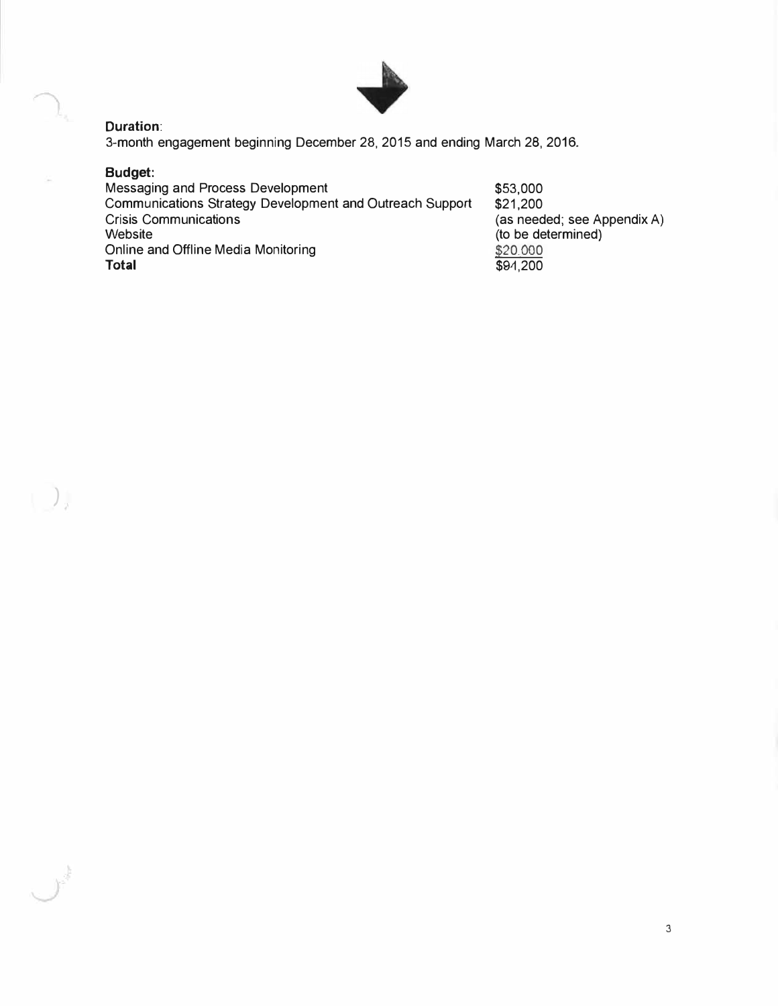

## **Duration:**

3-month engagement beginning December 28, 2015 and ending March 28, 2016.

# **Budget:**

 $\begin{array}{c} \hline \end{array}$ 

 $\mathcal{F}^{\frac{1}{2}}$ 

| Messaging and Process Development                               | \$53,000                    |
|-----------------------------------------------------------------|-----------------------------|
| <b>Communications Strategy Development and Outreach Support</b> | \$21.200                    |
| <b>Crisis Communications</b>                                    | (as needed; see Appendix A) |
| Website                                                         | (to be determined)          |
| Online and Offline Media Monitoring                             | \$20,000                    |
| <b>Total</b>                                                    | \$94,200                    |